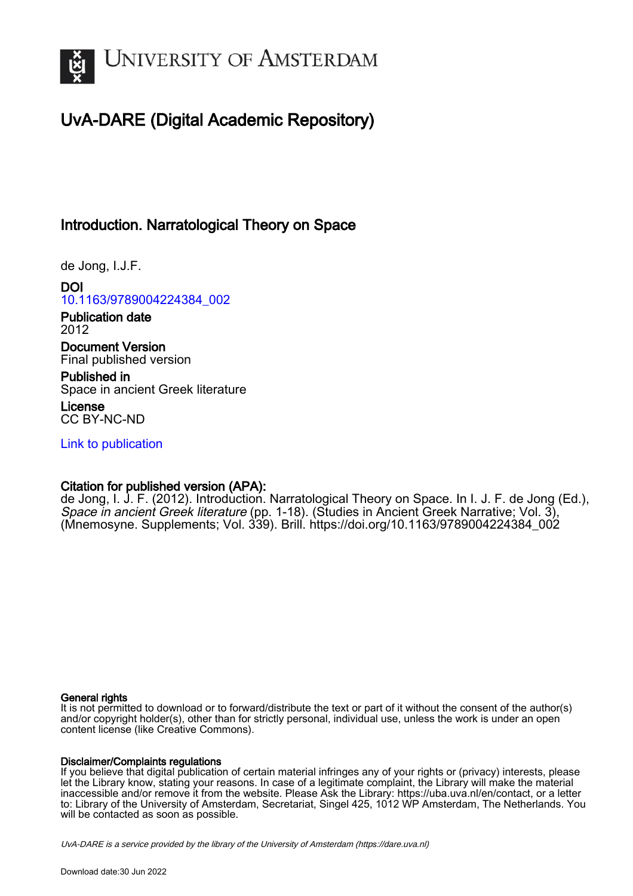

# UvA-DARE (Digital Academic Repository)

## Introduction. Narratological Theory on Space

de Jong, I.J.F.

DOI [10.1163/9789004224384\\_002](https://doi.org/10.1163/9789004224384_002)

Publication date 2012

Document Version Final published version

Published in Space in ancient Greek literature

License CC BY-NC-ND

[Link to publication](https://dare.uva.nl/personal/pure/en/publications/introduction-narratological-theory-on-space(eb3a72b3-4395-4676-af5d-a63481dd4e55).html)

## Citation for published version (APA):

de Jong, I. J. F. (2012). Introduction. Narratological Theory on Space. In I. J. F. de Jong (Ed.), Space in ancient Greek literature (pp. 1-18). (Studies in Ancient Greek Narrative; Vol. 3), (Mnemosyne. Supplements; Vol. 339). Brill. [https://doi.org/10.1163/9789004224384\\_002](https://doi.org/10.1163/9789004224384_002)

## General rights

It is not permitted to download or to forward/distribute the text or part of it without the consent of the author(s) and/or copyright holder(s), other than for strictly personal, individual use, unless the work is under an open content license (like Creative Commons).

## Disclaimer/Complaints regulations

If you believe that digital publication of certain material infringes any of your rights or (privacy) interests, please let the Library know, stating your reasons. In case of a legitimate complaint, the Library will make the material inaccessible and/or remove it from the website. Please Ask the Library: https://uba.uva.nl/en/contact, or a letter to: Library of the University of Amsterdam, Secretariat, Singel 425, 1012 WP Amsterdam, The Netherlands. You will be contacted as soon as possible.

UvA-DARE is a service provided by the library of the University of Amsterdam (http*s*://dare.uva.nl)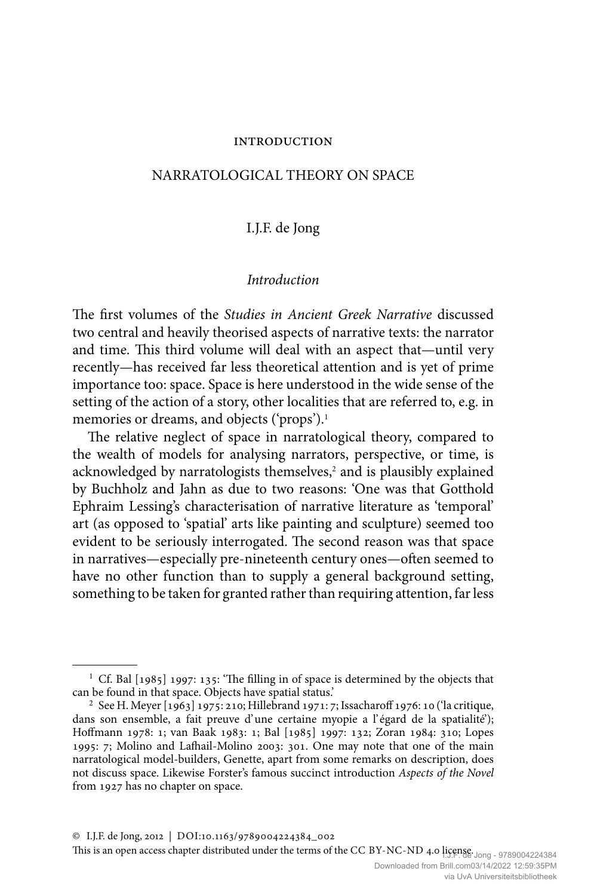#### **INTRODUCTION**

## NARRATOLOGICAL THEORY ON SPACE

## I.J.F. de Jong

## *Introduction*

The first volumes of the *Studies in Ancient Greek Narrative* discussed two central and heavily theorised aspects of narrative texts: the narrator and time. This third volume will deal with an aspect that—until very recently—has received far less theoretical attention and is yet of prime importance too: space. Space is here understood in the wide sense of the setting of the action of a story, other localities that are referred to, e.g. in memories or dreams, and objects ('props').<sup>1</sup>

The relative neglect of space in narratological theory, compared to the wealth of models for analysing narrators, perspective, or time, is acknowledged by narratologists themselves,<sup>2</sup> and is plausibly explained by Buchholz and Jahn as due to two reasons: 'One was that Gotthold Ephraim Lessing's characterisation of narrative literature as 'temporal' art (as opposed to 'spatial' arts like painting and sculpture) seemed too evident to be seriously interrogated. The second reason was that space in narratives—especially pre-nineteenth century ones—often seemed to have no other function than to supply a general background setting, something to be taken for granted rather than requiring attention, far less

This is an open access chapter distributed under the terms of the CC BY-NC-ND 4.0 license. <sub>Jong -</sub> 9789004224384 Downloaded from Brill.com03/14/2022 12:59:35PM

<sup>&</sup>lt;sup>1</sup> Cf. Bal  $[1985]$  1997: 135: 'The filling in of space is determined by the objects that can be found in that space. Objects have spatial status.'

<sup>&</sup>lt;sup>2</sup> See H. Meyer  $[1963]$   $1975$ : 210; Hillebrand  $1971$ : 7; Issacharoff  $1976$ : 10 ('la critique, dans son ensemble, a fait preuve d'une certaine myopie a l'égard de la spatialité'); Hoffmann 1978: 1; van Baak 1983: 1; Bal [1985] 1997: 132; Zoran 1984: 310; Lopes 1995: 7; Molino and Lafhail-Molino 2003: 301. One may note that one of the main narratological model-builders, Genette, apart from some remarks on description, does not discuss space. Likewise Forster's famous succinct introduction *Aspects of the Novel* from 1927 has no chapter on space.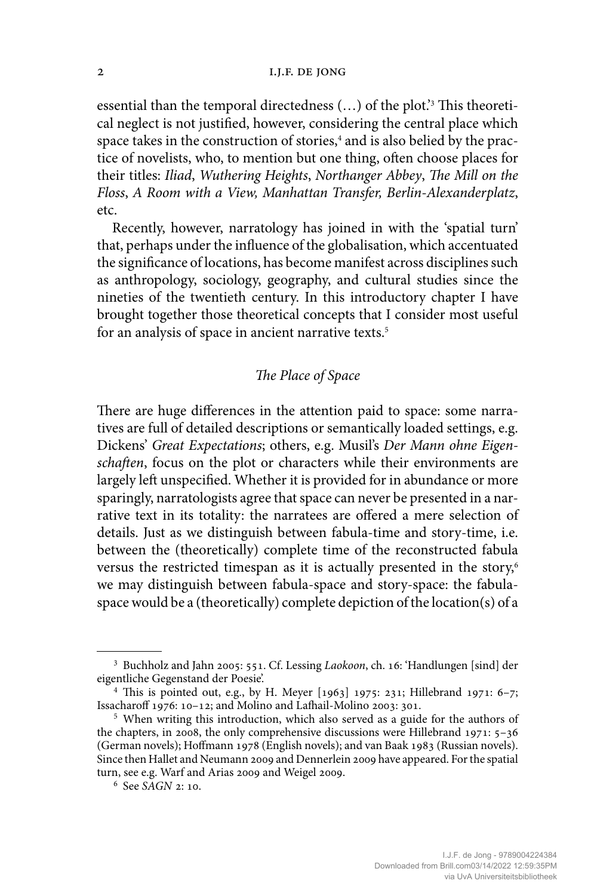#### 2 I.J.F. DE JONG

essential than the temporal directedness  $(...)$  of the plot.<sup>3</sup> This theoretical neglect is not justified, however, considering the central place which space takes in the construction of stories,<sup>4</sup> and is also belied by the practice of novelists, who, to mention but one thing, often choose places for their titles: Iliad, Wuthering Heights, Northanger Abbey, The Mill on the Floss, A Room with a View, Manhattan Transfer, Berlin-Alexanderplatz, etc.

Recently, however, narratology has joined in with the 'spatial turn' that, perhaps under the influence of the globalisation, which accentuated the significance of locations, has become manifest across disciplines such as anthropology, sociology, geography, and cultural studies since the nineties of the twentieth century. In this introductory chapter I have brought together those theoretical concepts that I consider most useful for an analysis of space in ancient narrative texts.<sup>5</sup>

## The Place of Space

There are huge differences in the attention paid to space: some narratives are full of detailed descriptions or semantically loaded settings, e.g. Dickens' Great Expectations; others, e.g. Musil's Der Mann ohne Eigenschaften, focus on the plot or characters while their environments are largely left unspecified. Whether it is provided for in abundance or more sparingly, narratologists agree that space can never be presented in a narrative text in its totality: the narratees are offered a mere selection of details. Just as we distinguish between fabula-time and story-time, i.e. between the (theoretically) complete time of the reconstructed fabula versus the restricted timespan as it is actually presented in the story,<sup>6</sup> we may distinguish between fabula-space and story-space: the fabulaspace would be a (theoretically) complete depiction of the location(s) of a

<sup>&</sup>lt;sup>3</sup> Buchholz and Jahn 2005: 551. Cf. Lessing Laokoon, ch. 16: 'Handlungen [sind] der eigentliche Gegenstand der Poesie'.

<sup>&</sup>lt;sup>4</sup> This is pointed out, e.g., by H. Meyer  $[1963]$  1975: 231; Hillebrand 1971: 6-7; Issacharoff 1976: 10-12; and Molino and Lafhail-Molino 2003: 301.

<sup>5</sup> When writing this introduction, which also served as a guide for the authors of the chapters, in 2008, the only comprehensive discussions were Hillebrand 1971:  $5-36$ (German novels); Hoffmann 1978 (English novels); and van Baak 1983 (Russian novels). Since then Hallet and Neumann 2009 and Dennerlein 2009 have appeared. For the spatial turn, see e.g. Warf and Arias 2009 and Weigel 2009.

 $6$  See SAGN 2: 10.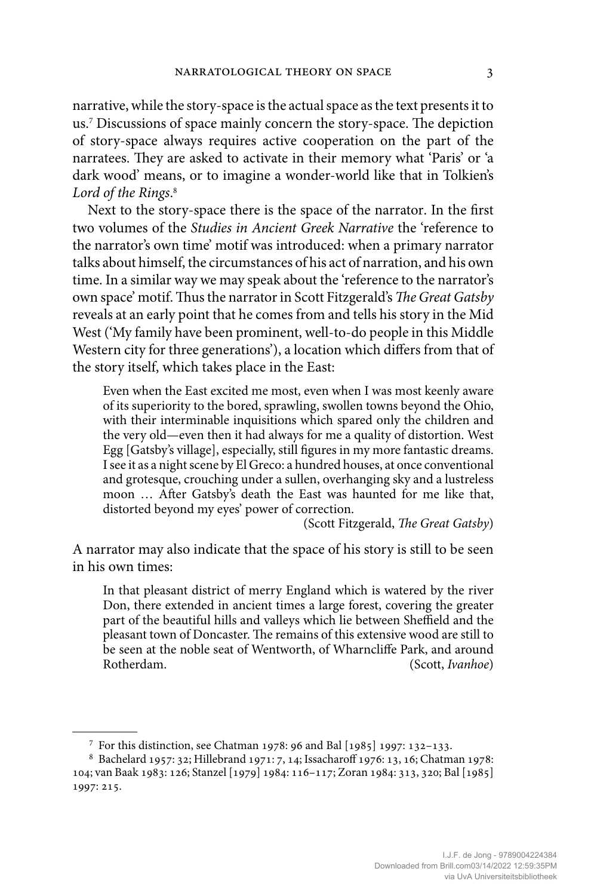narrative, while the story-space is the actual space as the text presents it to us.<sup>7</sup> Discussions of space mainly concern the story-space. The depiction of story-space always requires active cooperation on the part of the narratees. They are asked to activate in their memory what 'Paris' or 'a dark wood' means, or to imagine a wonder-world like that in Tolkien's Lord of the Rings.<sup>8</sup>

Next to the story-space there is the space of the narrator. In the first two volumes of the Studies in Ancient Greek Narrative the 'reference to the narrator's own time' motif was introduced: when a primary narrator talks about himself, the circumstances of his act of narration, and his own time. In a similar way we may speak about the 'reference to the narrator's own space' motif. Thus the narrator in Scott Fitzgerald's The Great Gatsby reveals at an early point that he comes from and tells his story in the Mid West ('My family have been prominent, well-to-do people in this Middle Western city for three generations'), a location which differs from that of the story itself, which takes place in the East:

Even when the East excited me most, even when I was most keenly aware of its superiority to the bored, sprawling, swollen towns beyond the Ohio, with their interminable inquisitions which spared only the children and the very old—even then it had always for me a quality of distortion. West Egg [Gatsby's village], especially, still figures in my more fantastic dreams. I see it as a night scene by El Greco: a hundred houses, at once conventional and grotesque, crouching under a sullen, overhanging sky and a lustreless moon ... After Gatsby's death the East was haunted for me like that, distorted beyond my eyes' power of correction.

(Scott Fitzgerald, The Great Gatsby)

A narrator may also indicate that the space of his story is still to be seen in his own times:

In that pleasant district of merry England which is watered by the river Don, there extended in ancient times a large forest, covering the greater part of the beautiful hills and valleys which lie between Sheffield and the pleasant town of Doncaster. The remains of this extensive wood are still to be seen at the noble seat of Wentworth, of Wharncliffe Park, and around Rotherdam. (Scott, *Ivanhoe*)

<sup>&</sup>lt;sup>7</sup> For this distinction, see Chatman 1978: 96 and Bal [1985] 1997: 132-133.

 $8$  Bachelard 1957: 32; Hillebrand 1971: 7, 14; Issacharoff 1976: 13, 16; Chatman 1978: 104; van Baak 1983; 126; Stanzel [1979] 1984; 116–117; Zoran 1984; 313, 320; Bal [1985] 1997: 215.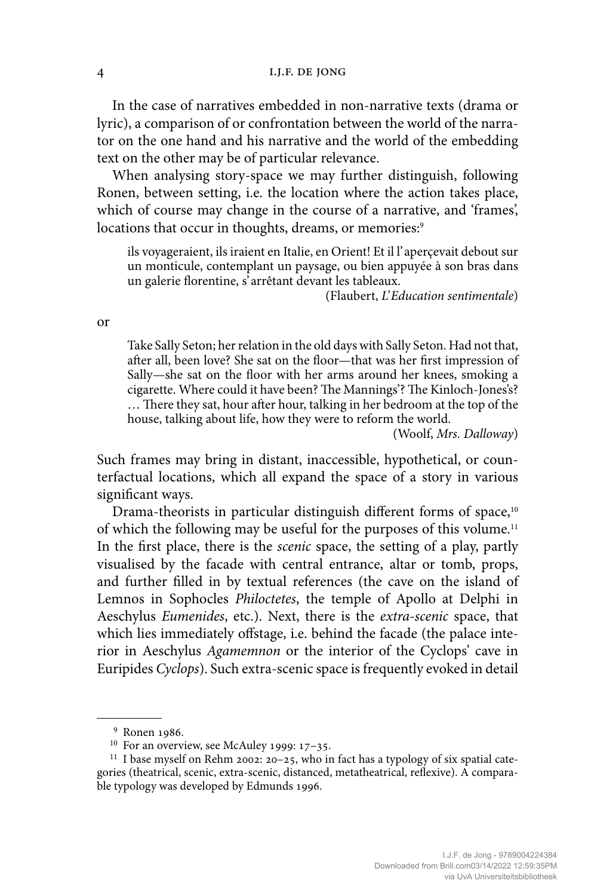In the case of narratives embedded in non-narrative texts (drama or lyric), a comparison of or confrontation between the world of the narrator on the one hand and his narrative and the world of the embedding text on the other may be of particular relevance.

When analysing story-space we may further distinguish, following Ronen, between setting, i.e. the location where the action takes place, which of course may change in the course of a narrative, and 'frames', locations that occur in thoughts, dreams, or memories:<sup>9</sup>

ils voyageraient, ils iraient en Italie, en Orient! Et il l'aperçevait debout sur un monticule, contemplant un paysage, ou bien appuyée à son bras dans un galerie ßorentine, s'arrêtant devant les tableaux.

(Flaubert, L'Education sentimentale)

or

Take Sally Seton; her relation in the old days with Sally Seton. Had not that, after all, been love? She sat on the floor—that was her first impression of Sally—she sat on the floor with her arms around her knees, smoking a cigarette. Where could it have been? The Mannings'? The Kinloch-Jones's?  $\ldots$  There they sat, hour after hour, talking in her bedroom at the top of the house, talking about life, how they were to reform the world.

(Woolf, Mrs. Dalloway)

Such frames may bring in distant, inaccessible, hypothetical, or counterfactual locations, which all expand the space of a story in various significant ways.

Drama-theorists in particular distinguish different forms of space,<sup>10</sup> of which the following may be useful for the purposes of this volume.<sup>11</sup> In the first place, there is the *scenic* space, the setting of a play, partly visualised by the facade with central entrance, altar or tomb, props, and further filled in by textual references (the cave on the island of Lemnos in Sophocles Philoctetes, the temple of Apollo at Delphi in Aeschylus Eumenides, etc.). Next, there is the extra-scenic space, that which lies immediately offstage, i.e. behind the facade (the palace interior in Aeschylus Agamemnon or the interior of the Cyclops' cave in Euripides Cyclops). Such extra-scenic space is frequently evoked in detail

<sup>&</sup>lt;sup>9</sup> Ronen 1986.

 $10$  For an overview, see McAuley 1999: 17-35.

 $11$  I base myself on Rehm 2002: 20-25, who in fact has a typology of six spatial categories (theatrical, scenic, extra-scenic, distanced, metatheatrical, reßexive). A comparable typology was developed by Edmunds 1996.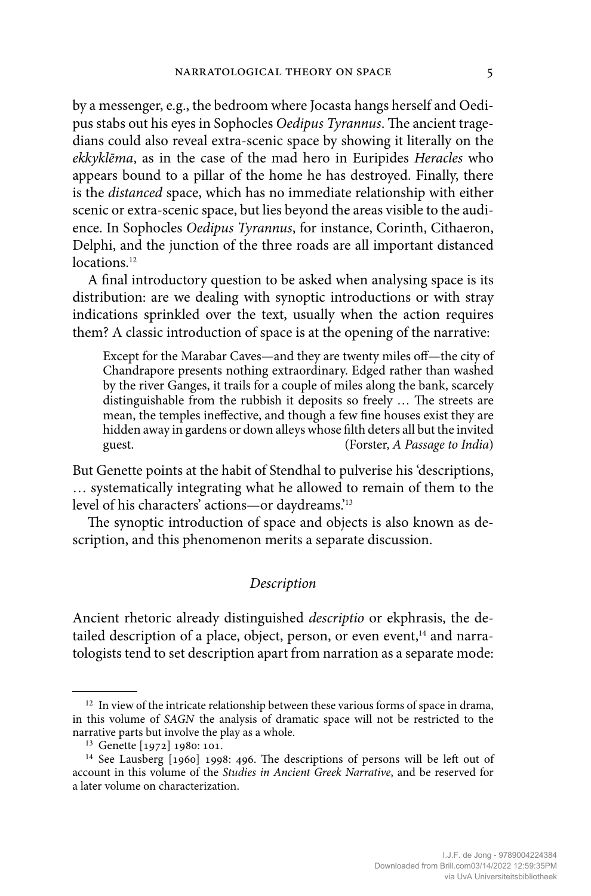by a messenger, e.g., the bedroom where Jocasta hangs herself and Oedipus stabs out his eyes in Sophocles Oedipus Tyrannus. The ancient tragedians could also reveal extra-scenic space by showing it literally on the ekkyklēma, as in the case of the mad hero in Euripides Heracles who appears bound to a pillar of the home he has destroyed. Finally, there is the distanced space, which has no immediate relationship with either scenic or extra-scenic space, but lies beyond the areas visible to the audience. In Sophocles Oedipus Tyrannus, for instance, Corinth, Cithaeron, Delphi, and the junction of the three roads are all important distanced locations.<sup>12</sup>

A final introductory question to be asked when analysing space is its distribution: are we dealing with synoptic introductions or with stray indications sprinkled over the text, usually when the action requires them? A classic introduction of space is at the opening of the narrative:

Except for the Marabar Caves—and they are twenty miles off—the city of Chandrapore presents nothing extraordinary. Edged rather than washed by the river Ganges, it trails for a couple of miles along the bank, scarcely distinguishable from the rubbish it deposits so freely  $\ldots$  The streets are mean, the temples ineffective, and though a few fine houses exist they are hidden away in gardens or down alleys whose filth deters all but the invited guest. (Forster, A Passage to India)

But Genette points at the habit of Stendhal to pulverise his 'descriptions, … systematically integrating what he allowed to remain of them to the level of his characters' actions—or daydreams.'<sup>13</sup>

The synoptic introduction of space and objects is also known as description, and this phenomenon merits a separate discussion.

## Description

Ancient rhetoric already distinguished descriptio or ekphrasis, the detailed description of a place, object, person, or even event, $<sup>14</sup>$  and narra-</sup> tologists tend to set description apart from narration as a separate mode:

<sup>&</sup>lt;sup>12</sup> In view of the intricate relationship between these various forms of space in drama, in this volume of SAGN the analysis of dramatic space will not be restricted to the narrative parts but involve the play as a whole.

 $13$  Genette [1972] 1980: 101.

 $14$  See Lausberg [1960] 1998: 496. The descriptions of persons will be left out of account in this volume of the Studies in Ancient Greek Narrative, and be reserved for a later volume on characterization.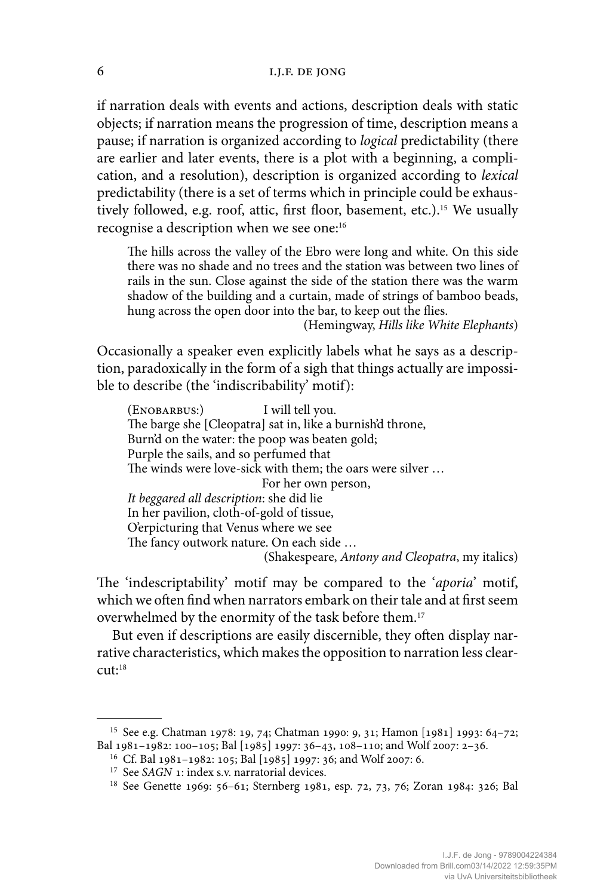if narration deals with events and actions, description deals with static objects; if narration means the progression of time, description means a pause; if narration is organized according to logical predictability (there are earlier and later events, there is a plot with a beginning, a complication, and a resolution), description is organized according to lexical predictability (there is a set of terms which in principle could be exhaustively followed, e.g. roof, attic, first floor, basement, etc.).<sup>15</sup> We usually recognise a description when we see one:<sup>16</sup>

The hills across the valley of the Ebro were long and white. On this side there was no shade and no trees and the station was between two lines of rails in the sun. Close against the side of the station there was the warm shadow of the building and a curtain, made of strings of bamboo beads, hung across the open door into the bar, to keep out the flies.

(Hemingway, Hills like White Elephants)

Occasionally a speaker even explicitly labels what he says as a description, paradoxically in the form of a sigh that things actually are impossible to describe (the 'indiscribability' motif):

(Enobarbus:) I will tell you. The barge she [Cleopatra] sat in, like a burnish'd throne, Burn'd on the water: the poop was beaten gold; Purple the sails, and so perfumed that The winds were love-sick with them; the oars were silver ... For her own person, It beggared all description: she did lie In her pavilion, cloth-of-gold of tissue, O'erpicturing that Venus where we see The fancy outwork nature. On each side ... (Shakespeare, Antony and Cleopatra, my italics)

The 'indescriptability' motif may be compared to the 'aporia' motif, which we often find when narrators embark on their tale and at first seem overwhelmed by the enormity of the task before them.<sup>17</sup>

But even if descriptions are easily discernible, they often display narrative characteristics, which makes the opposition to narration less clear- $\text{cut}^{\cdot18}$ 

<sup>&</sup>lt;sup>15</sup> See e.g. Chatman 1978: 19, 74; Chatman 1990: 9, 31; Hamon [1981] 1993: 64-72; Bal 1981-1982: 100-105; Bal [1985] 1997: 36-43, 108-110; and Wolf 2007: 2-36.

<sup>&</sup>lt;sup>16</sup> Cf. Bal 1981-1982: 105; Bal [1985] 1997: 36; and Wolf 2007: 6.

<sup>&</sup>lt;sup>17</sup> See SAGN 1: index s.v. narratorial devices.

<sup>&</sup>lt;sup>18</sup> See Genette 1969: 56-61; Sternberg 1981, esp. 72, 73, 76; Zoran 1984: 326; Bal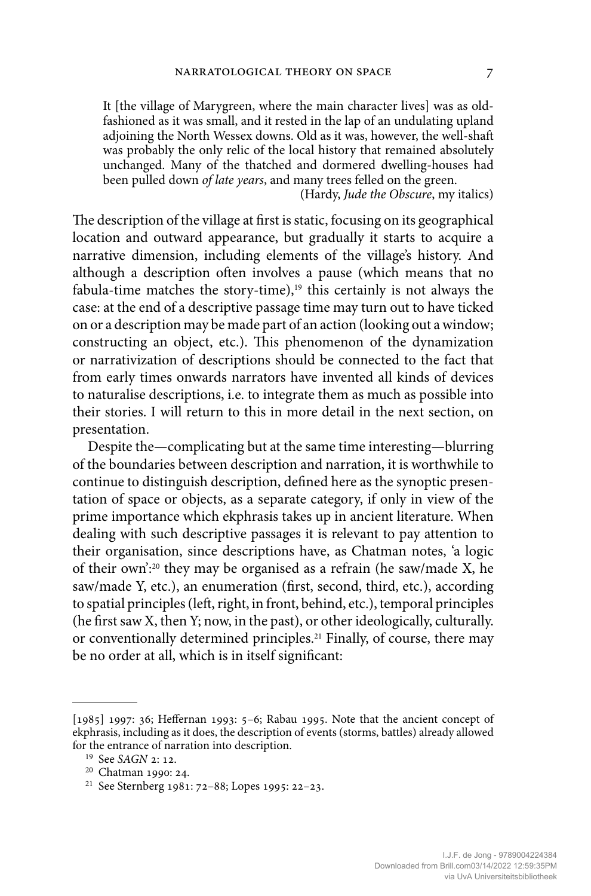It [the village of Marygreen, where the main character lives] was as oldfashioned as it was small, and it rested in the lap of an undulating upland adjoining the North Wessex downs. Old as it was, however, the well-shaft was probably the only relic of the local history that remained absolutely unchanged. Many of the thatched and dormered dwelling-houses had been pulled down of late years, and many trees felled on the green.

(Hardy, Jude the Obscure, my italics)

The description of the village at first is static, focusing on its geographical location and outward appearance, but gradually it starts to acquire a narrative dimension, including elements of the village's history. And although a description often involves a pause (which means that no fabula-time matches the story-time), $19$  this certainly is not always the case: at the end of a descriptive passage time may turn out to have ticked on or a description may be made part of an action (looking out a window; constructing an object, etc.). This phenomenon of the dynamization or narrativization of descriptions should be connected to the fact that from early times onwards narrators have invented all kinds of devices to naturalise descriptions, i.e. to integrate them as much as possible into their stories. I will return to this in more detail in the next section, on presentation.

Despite the—complicating but at the same time interesting—blurring of the boundaries between description and narration, it is worthwhile to continue to distinguish description, defined here as the synoptic presentation of space or objects, as a separate category, if only in view of the prime importance which ekphrasis takes up in ancient literature. When dealing with such descriptive passages it is relevant to pay attention to their organisation, since descriptions have, as Chatman notes, 'a logic of their own':<sup>20</sup> they may be organised as a refrain (he saw/made X, he saw/made Y, etc.), an enumeration (first, second, third, etc.), according to spatial principles (left, right, in front, behind, etc.), temporal principles (he first saw  $X$ , then  $Y$ ; now, in the past), or other ideologically, culturally. or conventionally determined principles.<sup>21</sup> Finally, of course, there may be no order at all, which is in itself significant:

 $[1985]$  1997: 36; Heffernan 1993: 5-6; Rabau 1995. Note that the ancient concept of ekphrasis, including as it does, the description of events (storms, battles) already allowed for the entrance of narration into description.

<sup>&</sup>lt;sup>19</sup> See SAGN 2: 12.

<sup>&</sup>lt;sup>20</sup> Chatman 1990: 24.

<sup>&</sup>lt;sup>21</sup> See Sternberg 1981: 72-88; Lopes 1995: 22-23.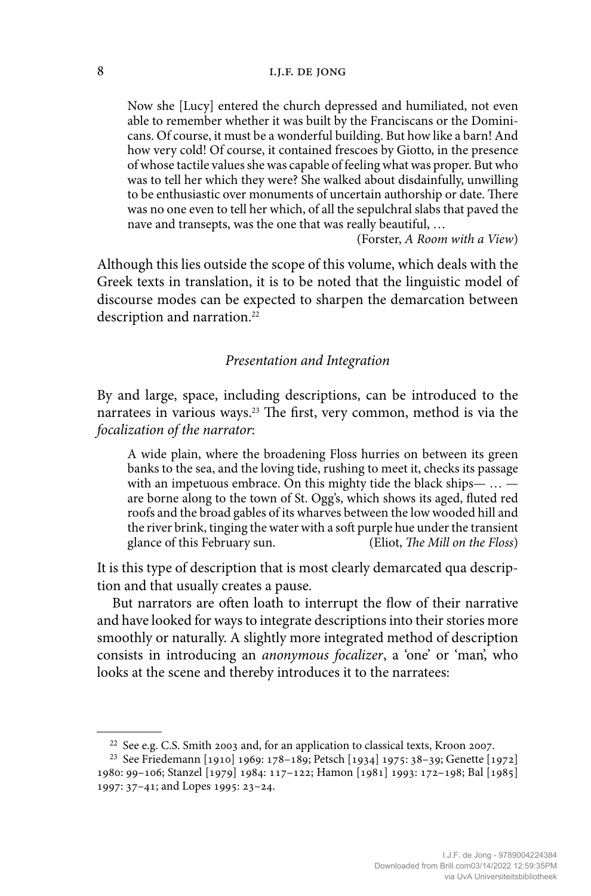Now she [Lucy] entered the church depressed and humiliated, not even able to remember whether it was built by the Franciscans or the Dominicans. Of course, it must be a wonderful building. But how like a barn! And how very cold! Of course, it contained frescoes by Giotto, in the presence of whose tactile values she was capable of feeling what was proper. But who was to tell her which they were? She walked about disdainfully, unwilling to be enthusiastic over monuments of uncertain authorship or date. There was no one even to tell her which, of all the sepulchral slabs that paved the nave and transepts, was the one that was really beautiful, …

(Forster, A Room with a View)

Although this lies outside the scope of this volume, which deals with the Greek texts in translation, it is to be noted that the linguistic model of discourse modes can be expected to sharpen the demarcation between description and narration.<sup>22</sup>

## Presentation and Integration

By and large, space, including descriptions, can be introduced to the narratees in various ways.<sup>23</sup> The first, very common, method is via the focalization of the narrator:

A wide plain, where the broadening Floss hurries on between its green banks to the sea, and the loving tide, rushing to meet it, checks its passage with an impetuous embrace. On this mighty tide the black ships— $\ldots$  are borne along to the town of St. Ogg's, which shows its aged, ßuted red roofs and the broad gables of its wharves between the low wooded hill and the river brink, tinging the water with a soft purple hue under the transient glance of this February sun. (Eliot, The Mill on the Floss)

It is this type of description that is most clearly demarcated qua description and that usually creates a pause.

But narrators are often loath to interrupt the flow of their narrative and have looked for ways to integrate descriptions into their stories more smoothly or naturally. A slightly more integrated method of description consists in introducing an anonymous focalizer, a 'one' or 'man', who looks at the scene and thereby introduces it to the narratees:

 $22$  See e.g. C.S. Smith 2003 and, for an application to classical texts, Kroon 2007.

<sup>&</sup>lt;sup>23</sup> See Friedemann [1910] 1969: 178-189; Petsch [1934] 1975: 38-39; Genette [1972] 1980: 99-106; Stanzel [1979] 1984: 117-122; Hamon [1981] 1993: 172-198; Bal [1985] 1997: 37-41; and Lopes 1995: 23-24.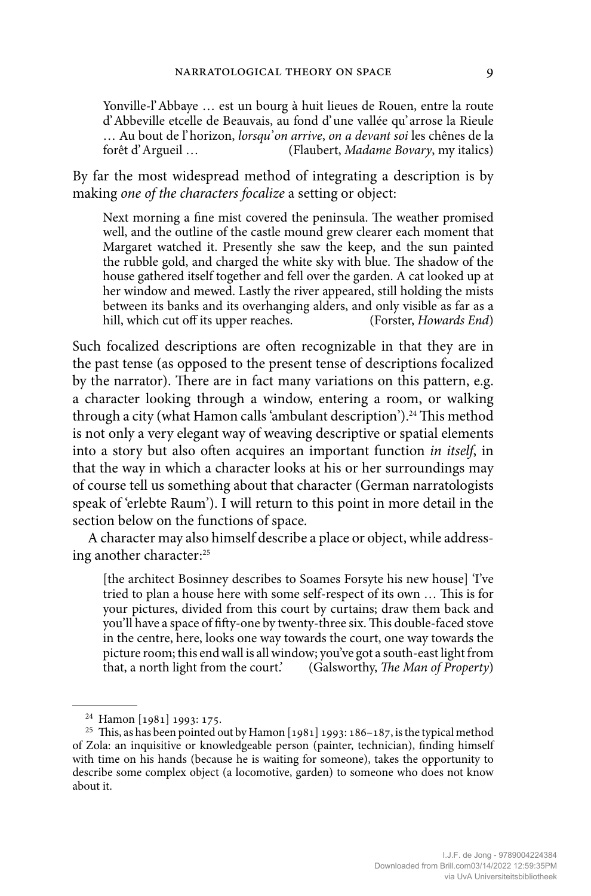Yonville-l'Abbaye … est un bourg à huit lieues de Rouen, entre la route d'Abbeville etcelle de Beauvais, au fond d'une vallée qu'arrose la Rieule … Au bout de l'horizon, lorsqu'on arrive, on a devant soi les chênes de la forêt d'Argueil … (Flaubert, Madame Bovary, my italics)

By far the most widespread method of integrating a description is by making one of the characters focalize a setting or object:

Next morning a fine mist covered the peninsula. The weather promised well, and the outline of the castle mound grew clearer each moment that Margaret watched it. Presently she saw the keep, and the sun painted the rubble gold, and charged the white sky with blue. The shadow of the house gathered itself together and fell over the garden. A cat looked up at her window and mewed. Lastly the river appeared, still holding the mists between its banks and its overhanging alders, and only visible as far as a hill, which cut off its upper reaches. (Forster, *Howards End*)

Such focalized descriptions are often recognizable in that they are in the past tense (as opposed to the present tense of descriptions focalized by the narrator). There are in fact many variations on this pattern, e.g. a character looking through a window, entering a room, or walking through a city (what Hamon calls 'ambulant description').<sup>24</sup> This method is not only a very elegant way of weaving descriptive or spatial elements into a story but also often acquires an important function in itself, in that the way in which a character looks at his or her surroundings may of course tell us something about that character (German narratologists speak of 'erlebte Raum'). I will return to this point in more detail in the section below on the functions of space.

A character may also himself describe a place or object, while addressing another character:<sup>25</sup>

[the architect Bosinney describes to Soames Forsyte his new house] 'I've tried to plan a house here with some self-respect of its own ... This is for your pictures, divided from this court by curtains; draw them back and you'll have a space of fifty-one by twenty-three six. This double-faced stove in the centre, here, looks one way towards the court, one way towards the picture room; this end wall is all window; you've got a south-east light from that, a north light from the court.  $(Galsworthy, The Man of Property)$ 

 $24$  Hamon [1981] 1993: 175.

<sup>&</sup>lt;sup>25</sup> This, as has been pointed out by Hamon [1981] 1993: 186-187, is the typical method of Zola: an inquisitive or knowledgeable person (painter, technician), finding himself with time on his hands (because he is waiting for someone), takes the opportunity to describe some complex object (a locomotive, garden) to someone who does not know about it.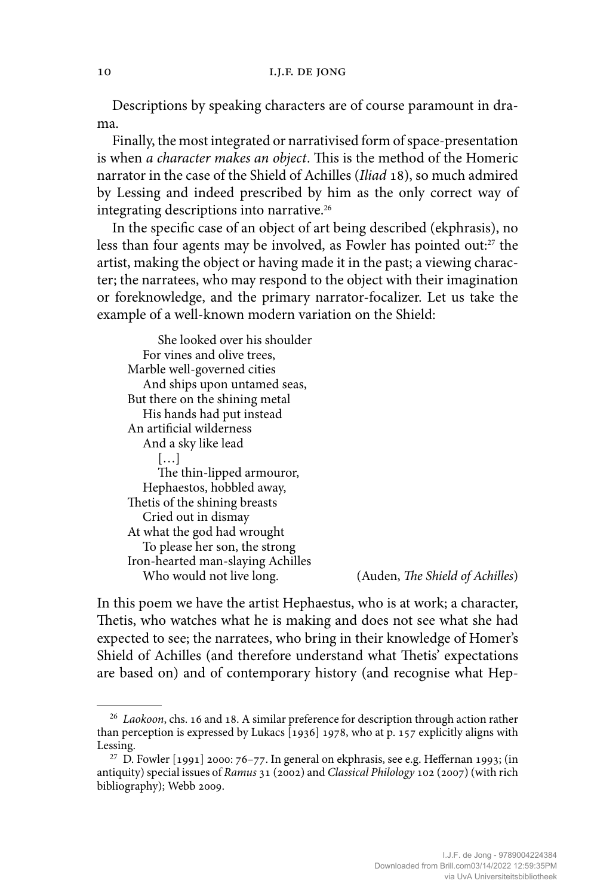Descriptions by speaking characters are of course paramount in drama.

Finally, the most integrated or narrativised form of space-presentation is when a character makes an object. This is the method of the Homeric narrator in the case of the Shield of Achilles (Iliad 18), so much admired by Lessing and indeed prescribed by him as the only correct way of integrating descriptions into narrative.<sup>26</sup>

In the specific case of an object of art being described (ekphrasis), no less than four agents may be involved, as Fowler has pointed out:<sup>27</sup> the artist, making the object or having made it in the past; a viewing character; the narratees, who may respond to the object with their imagination or foreknowledge, and the primary narrator-focalizer. Let us take the example of a well-known modern variation on the Shield:

| She looked over his shoulder      |                                         |
|-----------------------------------|-----------------------------------------|
| For vines and olive trees.        |                                         |
| Marble well-governed cities       |                                         |
| And ships upon untamed seas,      |                                         |
| But there on the shining metal    |                                         |
| His hands had put instead         |                                         |
| An artificial wilderness          |                                         |
| And a sky like lead               |                                         |
| $\left   \right $                 |                                         |
| The thin-lipped armouror,         |                                         |
| Hephaestos, hobbled away,         |                                         |
| Thetis of the shining breasts     |                                         |
| Cried out in dismay               |                                         |
| At what the god had wrought       |                                         |
| To please her son, the strong     |                                         |
| Iron-hearted man-slaying Achilles |                                         |
| Who would not live long.          | (Auden, <i>The Shield of Achilles</i> ) |
|                                   |                                         |

In this poem we have the artist Hephaestus, who is at work; a character, Thetis, who watches what he is making and does not see what she had expected to see; the narratees, who bring in their knowledge of Homer's Shield of Achilles (and therefore understand what Thetis' expectations are based on) and of contemporary history (and recognise what Hep-

<sup>&</sup>lt;sup>26</sup> Laokoon, chs. 16 and 18. A similar preference for description through action rather than perception is expressed by Lukacs [1936] 1978, who at p. 157 explicitly aligns with Lessing.

<sup>&</sup>lt;sup>27</sup> D. Fowler [1991] 2000:  $76-77$ . In general on ekphrasis, see e.g. Heffernan 1993; (in antiquity) special issues of Ramus  $31$  (2002) and Classical Philology 102 (2007) (with rich bibliography); Webb 2009.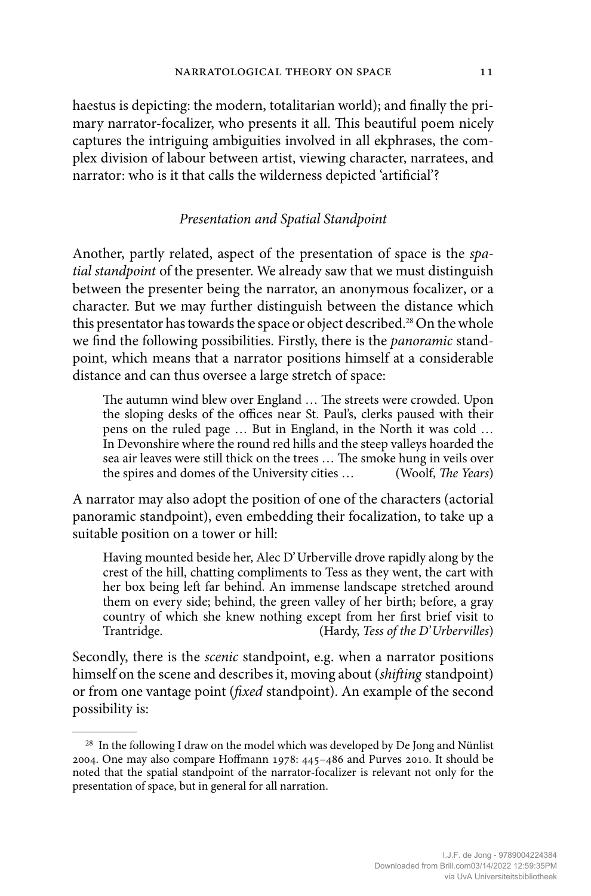haestus is depicting: the modern, totalitarian world); and finally the primary narrator-focalizer, who presents it all. This beautiful poem nicely captures the intriguing ambiguities involved in all ekphrases, the complex division of labour between artist, viewing character, narratees, and narrator: who is it that calls the wilderness depicted 'artificial'?

## Presentation and Spatial Standpoint

Another, partly related, aspect of the presentation of space is the spatial standpoint of the presenter. We already saw that we must distinguish between the presenter being the narrator, an anonymous focalizer, or a character. But we may further distinguish between the distance which this presentator has towards the space or object described.<sup>28</sup> On the whole we find the following possibilities. Firstly, there is the *panoramic* standpoint, which means that a narrator positions himself at a considerable distance and can thus oversee a large stretch of space:

The autumn wind blew over England ... The streets were crowded. Upon the sloping desks of the offices near St. Paul's, clerks paused with their pens on the ruled page … But in England, in the North it was cold … In Devonshire where the round red hills and the steep valleys hoarded the sea air leaves were still thick on the trees ... The smoke hung in veils over the spires and domes of the University cities ... (Woolf, The Years)

A narrator may also adopt the position of one of the characters (actorial panoramic standpoint), even embedding their focalization, to take up a suitable position on a tower or hill:

Having mounted beside her, Alec D'Urberville drove rapidly along by the crest of the hill, chatting compliments to Tess as they went, the cart with her box being left far behind. An immense landscape stretched around them on every side; behind, the green valley of her birth; before, a gray country of which she knew nothing except from her first brief visit to Trantridge. (Hardy, Tess of the D'Urbervilles)

Secondly, there is the scenic standpoint, e.g. when a narrator positions himself on the scene and describes it, moving about (shifting standpoint) or from one vantage point (*fixed* standpoint). An example of the second possibility is:

<sup>&</sup>lt;sup>28</sup> In the following I draw on the model which was developed by De Jong and Nünlist 2004. One may also compare Hoffmann 1978: 445-486 and Purves 2010. It should be noted that the spatial standpoint of the narrator-focalizer is relevant not only for the presentation of space, but in general for all narration.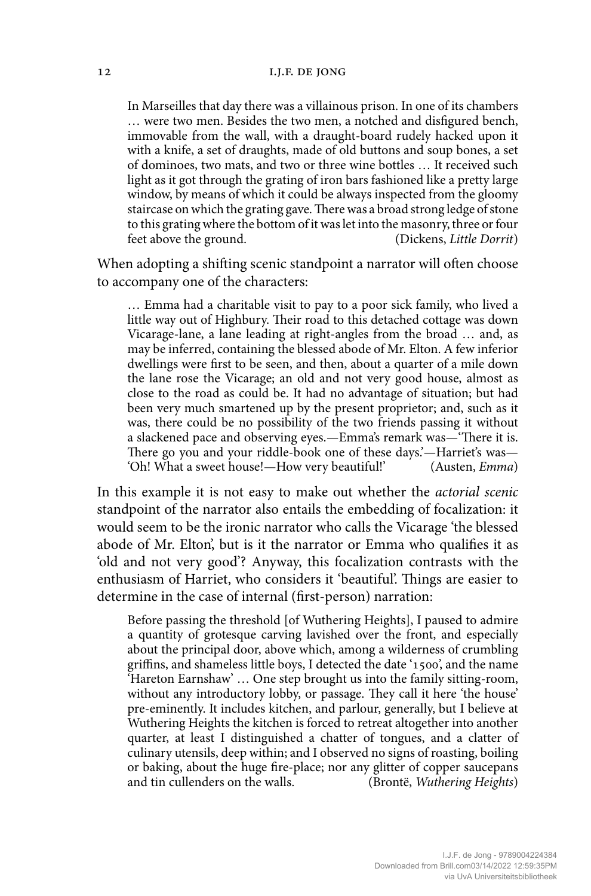In Marseilles that day there was a villainous prison. In one of its chambers ... were two men. Besides the two men, a notched and disfigured bench, immovable from the wall, with a draught-board rudely hacked upon it with a knife, a set of draughts, made of old buttons and soup bones, a set of dominoes, two mats, and two or three wine bottles … It received such light as it got through the grating of iron bars fashioned like a pretty large window, by means of which it could be always inspected from the gloomy staircase on which the grating gave. There was a broad strong ledge of stone to this grating where the bottom of it was let into the masonry, three or four feet above the ground. (Dickens, Little Dorrit)

When adopting a shifting scenic standpoint a narrator will often choose to accompany one of the characters:

… Emma had a charitable visit to pay to a poor sick family, who lived a little way out of Highbury. Their road to this detached cottage was down Vicarage-lane, a lane leading at right-angles from the broad … and, as may be inferred, containing the blessed abode of Mr. Elton. A few inferior dwellings were first to be seen, and then, about a quarter of a mile down the lane rose the Vicarage; an old and not very good house, almost as close to the road as could be. It had no advantage of situation; but had been very much smartened up by the present proprietor; and, such as it was, there could be no possibility of the two friends passing it without a slackened pace and observing eyes.—Emma's remark was—'There it is. There go you and your riddle-book one of these days.'—Harriet's was— 'Oh! What a sweet house!—How very beautiful!' (Austen, Emma)

In this example it is not easy to make out whether the actorial scenic standpoint of the narrator also entails the embedding of focalization: it would seem to be the ironic narrator who calls the Vicarage 'the blessed abode of Mr. Elton', but is it the narrator or Emma who qualifies it as 'old and not very good'? Anyway, this focalization contrasts with the enthusiasm of Harriet, who considers it 'beautiful'. Things are easier to determine in the case of internal (first-person) narration:

Before passing the threshold [of Wuthering Heights], I paused to admire a quantity of grotesque carving lavished over the front, and especially about the principal door, above which, among a wilderness of crumbling griffins, and shameless little boys, I detected the date '1500', and the name 'Hareton Earnshaw' … One step brought us into the family sitting-room, without any introductory lobby, or passage. They call it here 'the house' pre-eminently. It includes kitchen, and parlour, generally, but I believe at Wuthering Heights the kitchen is forced to retreat altogether into another quarter, at least I distinguished a chatter of tongues, and a clatter of culinary utensils, deep within; and I observed no signs of roasting, boiling or baking, about the huge fire-place; nor any glitter of copper saucepans and tin cullenders on the walls. (Brontë, Wuthering Heights)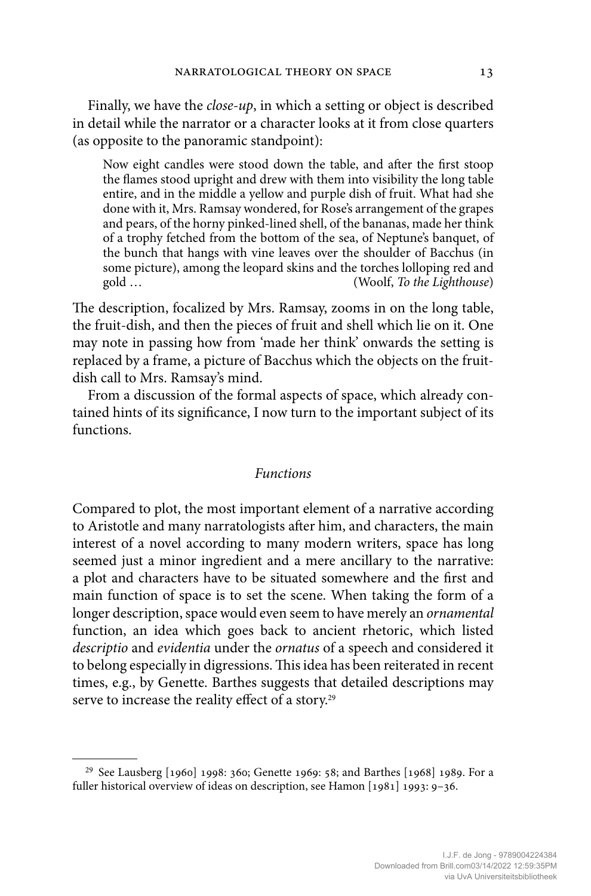Finally, we have the close-up, in which a setting or object is described in detail while the narrator or a character looks at it from close quarters (as opposite to the panoramic standpoint):

Now eight candles were stood down the table, and after the first stoop the flames stood upright and drew with them into visibility the long table entire, and in the middle a yellow and purple dish of fruit. What had she done with it, Mrs. Ramsay wondered, for Rose's arrangement of the grapes and pears, of the horny pinked-lined shell, of the bananas, made her think of a trophy fetched from the bottom of the sea, of Neptune's banquet, of the bunch that hangs with vine leaves over the shoulder of Bacchus (in some picture), among the leopard skins and the torches lolloping red and gold … (Woolf, To the Lighthouse)

The description, focalized by Mrs. Ramsay, zooms in on the long table, the fruit-dish, and then the pieces of fruit and shell which lie on it. One may note in passing how from 'made her think' onwards the setting is replaced by a frame, a picture of Bacchus which the objects on the fruitdish call to Mrs. Ramsay's mind.

From a discussion of the formal aspects of space, which already contained hints of its significance, I now turn to the important subject of its functions.

## Functions

Compared to plot, the most important element of a narrative according to Aristotle and many narratologists after him, and characters, the main interest of a novel according to many modern writers, space has long seemed just a minor ingredient and a mere ancillary to the narrative: a plot and characters have to be situated somewhere and the first and main function of space is to set the scene. When taking the form of a longer description, space would even seem to have merely an ornamental function, an idea which goes back to ancient rhetoric, which listed descriptio and evidentia under the ornatus of a speech and considered it to belong especially in digressions. This idea has been reiterated in recent times, e.g., by Genette. Barthes suggests that detailed descriptions may serve to increase the reality effect of a story.<sup>29</sup>

<sup>&</sup>lt;sup>29</sup> See Lausberg [1960] 1998: 360; Genette 1969: 58; and Barthes [1968] 1989. For a fuller historical overview of ideas on description, see Hamon [1981] 1993: 9-36.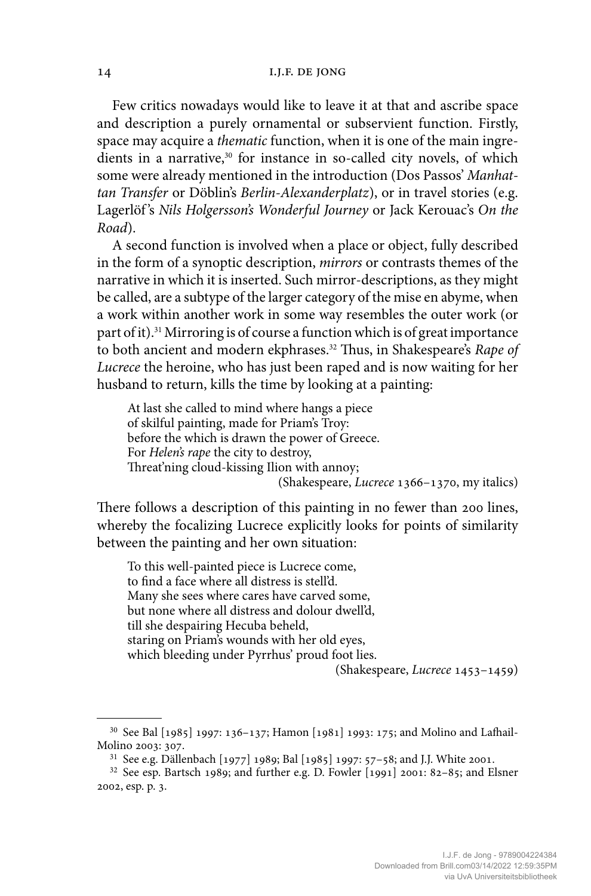#### 14 I.J.F. DE JONG

Few critics nowadays would like to leave it at that and ascribe space and description a purely ornamental or subservient function. Firstly, space may acquire a thematic function, when it is one of the main ingredients in a narrative,<sup>30</sup> for instance in so-called city novels, of which some were already mentioned in the introduction (Dos Passos' Manhattan Transfer or Döblin's Berlin-Alexanderplatz), or in travel stories (e.g. Lagerlöf's Nils Holgersson's Wonderful Journey or Jack Kerouac's On the Road).

A second function is involved when a place or object, fully described in the form of a synoptic description, mirrors or contrasts themes of the narrative in which it is inserted. Such mirror-descriptions, as they might be called, are a subtype of the larger category of the mise en abyme, when a work within another work in some way resembles the outer work (or part of it).<sup>31</sup> Mirroring is of course a function which is of great importance to both ancient and modern ekphrases.<sup>32</sup> Thus, in Shakespeare's Rape of Lucrece the heroine, who has just been raped and is now waiting for her husband to return, kills the time by looking at a painting:

At last she called to mind where hangs a piece of skilful painting, made for Priam's Troy: before the which is drawn the power of Greece. For Helen's rape the city to destroy, Threat'ning cloud-kissing Ilion with annoy; (Shakespeare, Lucrece 1366-1370, my italics)

There follows a description of this painting in no fewer than 200 lines, whereby the focalizing Lucrece explicitly looks for points of similarity between the painting and her own situation:

To this well-painted piece is Lucrece come, to find a face where all distress is stell'd. Many she sees where cares have carved some, but none where all distress and dolour dwell'd, till she despairing Hecuba beheld, staring on Priam's wounds with her old eyes, which bleeding under Pyrrhus' proud foot lies.

 $(Shakespeace, Lucrece 1453-1459)$ 

 $30$  See Bal  $\lceil 1985 \rceil$  1997: 136–137; Hamon  $\lceil 1981 \rceil$  1993: 175; and Molino and Lafhail-Molino 2003: 307.

<sup>&</sup>lt;sup>31</sup> See e.g. Dällenbach [1977] 1989; Bal [1985] 1997: 57-58; and J.J. White 2001.

 $32$  See esp. Bartsch 1989; and further e.g. D. Fowler [1991] 2001: 82-85; and Elsner 2002, esp. p. 3.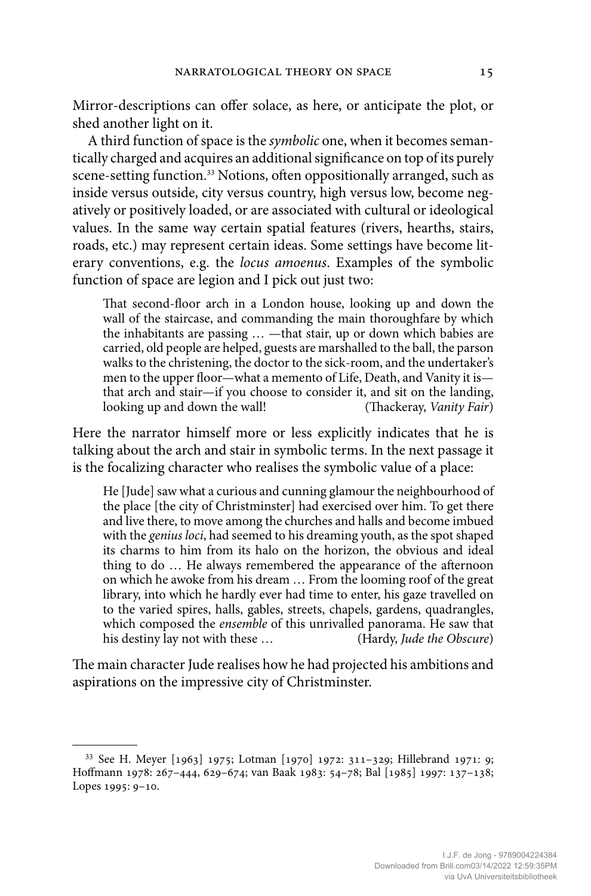Mirror-descriptions can offer solace, as here, or anticipate the plot, or shed another light on it.

A third function of space is the symbolic one, when it becomes semantically charged and acquires an additional significance on top of its purely scene-setting function.<sup>33</sup> Notions, often oppositionally arranged, such as inside versus outside, city versus country, high versus low, become negatively or positively loaded, or are associated with cultural or ideological values. In the same way certain spatial features (rivers, hearths, stairs, roads, etc.) may represent certain ideas. Some settings have become literary conventions, e.g. the locus amoenus. Examples of the symbolic function of space are legion and I pick out just two:

That second-floor arch in a London house, looking up and down the wall of the staircase, and commanding the main thoroughfare by which the inhabitants are passing … —that stair, up or down which babies are carried, old people are helped, guests are marshalled to the ball, the parson walks to the christening, the doctor to the sick-room, and the undertaker's men to the upper ßoor—what a memento of Life, Death, and Vanity it is that arch and stair—if you choose to consider it, and sit on the landing, looking up and down the wall! (Thackeray, Vanity Fair)

Here the narrator himself more or less explicitly indicates that he is talking about the arch and stair in symbolic terms. In the next passage it is the focalizing character who realises the symbolic value of a place:

He [Jude] saw what a curious and cunning glamour the neighbourhood of the place [the city of Christminster] had exercised over him. To get there and live there, to move among the churches and halls and become imbued with the *genius loci*, had seemed to his dreaming youth, as the spot shaped its charms to him from its halo on the horizon, the obvious and ideal thing to do ... He always remembered the appearance of the afternoon on which he awoke from his dream … From the looming roof of the great library, into which he hardly ever had time to enter, his gaze travelled on to the varied spires, halls, gables, streets, chapels, gardens, quadrangles, which composed the *ensemble* of this unrivalled panorama. He saw that his destiny lay not with these ... (Hardy, Jude the Obscure)

The main character Jude realises how he had projected his ambitions and aspirations on the impressive city of Christminster.

<sup>&</sup>lt;sup>33</sup> See H. Meyer [1963] 1975; Lotman [1970] 1972: 311-329; Hillebrand 1971: 9; Hoffmann 1978: 267-444, 629-674; van Baak 1983: 54-78; Bal [1985] 1997: 137-138; Lopes 1995: 9-10.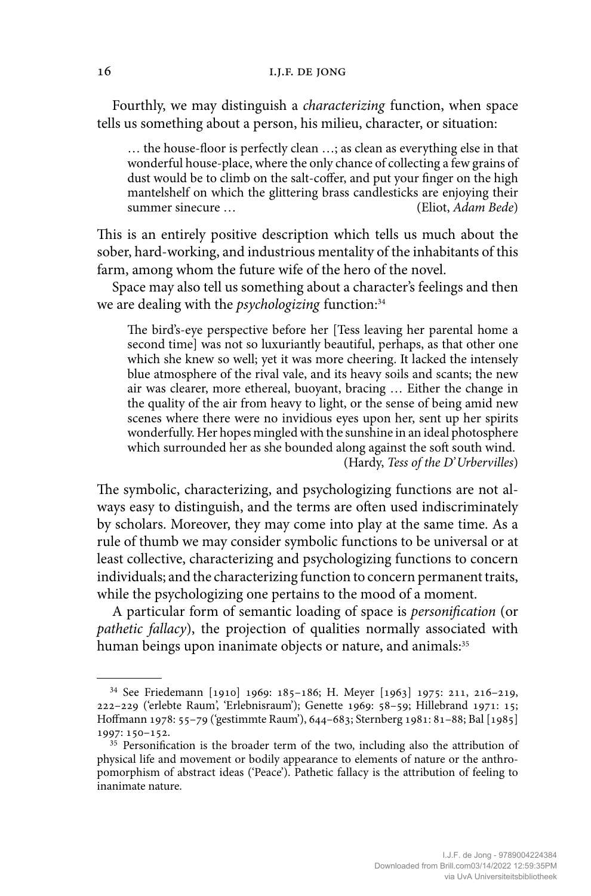Fourthly, we may distinguish a characterizing function, when space tells us something about a person, his milieu, character, or situation:

… the house-ßoor is perfectly clean …; as clean as everything else in that wonderful house-place, where the only chance of collecting a few grains of dust would be to climb on the salt-coffer, and put your finger on the high mantelshelf on which the glittering brass candlesticks are enjoying their summer sinecure … (Eliot, Adam Bede)

This is an entirely positive description which tells us much about the sober, hard-working, and industrious mentality of the inhabitants of this farm, among whom the future wife of the hero of the novel.

Space may also tell us something about a character's feelings and then we are dealing with the *psychologizing* function:<sup>34</sup>

The bird's-eye perspective before her [Tess leaving her parental home a second time] was not so luxuriantly beautiful, perhaps, as that other one which she knew so well; yet it was more cheering. It lacked the intensely blue atmosphere of the rival vale, and its heavy soils and scants; the new air was clearer, more ethereal, buoyant, bracing … Either the change in the quality of the air from heavy to light, or the sense of being amid new scenes where there were no invidious eyes upon her, sent up her spirits wonderfully. Her hopes mingled with the sunshine in an ideal photosphere which surrounded her as she bounded along against the soft south wind. (Hardy, Tess of the D'Urbervilles)

The symbolic, characterizing, and psychologizing functions are not always easy to distinguish, and the terms are often used indiscriminately by scholars. Moreover, they may come into play at the same time. As a rule of thumb we may consider symbolic functions to be universal or at least collective, characterizing and psychologizing functions to concern individuals; and the characterizing function to concern permanent traits, while the psychologizing one pertains to the mood of a moment.

A particular form of semantic loading of space is *personification* (or pathetic fallacy), the projection of qualities normally associated with human beings upon inanimate objects or nature, and animals:<sup>35</sup>

<sup>&</sup>lt;sup>34</sup> See Friedemann [1910] 1969: 185-186; H. Meyer [1963] 1975: 211, 216-219, 222-229 ('erlebte Raum', 'Erlebnisraum'); Genette 1969: 58-59; Hillebrand 1971: 15; Hoffmann 1978: 55-79 ('gestimmte Raum'), 644-683; Sternberg 1981: 81-88; Bal [1985]  $1997: 150 - 152.$ 

<sup>&</sup>lt;sup>35</sup> Personification is the broader term of the two, including also the attribution of physical life and movement or bodily appearance to elements of nature or the anthropomorphism of abstract ideas ('Peace'). Pathetic fallacy is the attribution of feeling to inanimate nature.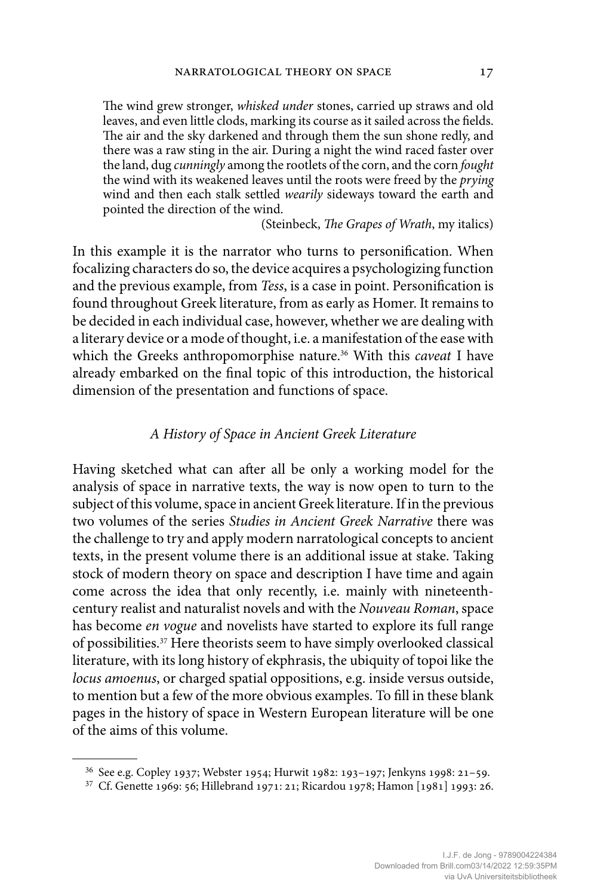The wind grew stronger, whisked under stones, carried up straws and old leaves, and even little clods, marking its course as it sailed across the fields. The air and the sky darkened and through them the sun shone redly, and there was a raw sting in the air. During a night the wind raced faster over the land, dug *cunningly* among the rootlets of the corn, and the corn fought the wind with its weakened leaves until the roots were freed by the prying wind and then each stalk settled wearily sideways toward the earth and pointed the direction of the wind.

(Steinbeck, The Grapes of Wrath, my italics)

In this example it is the narrator who turns to personification. When focalizing characters do so, the device acquires a psychologizing function and the previous example, from Tess, is a case in point. Personification is found throughout Greek literature, from as early as Homer. It remains to be decided in each individual case, however, whether we are dealing with a literary device or a mode of thought, i.e. a manifestation of the ease with which the Greeks anthropomorphise nature.<sup>36</sup> With this *caveat* I have already embarked on the final topic of this introduction, the historical dimension of the presentation and functions of space.

## A History of Space in Ancient Greek Literature

Having sketched what can after all be only a working model for the analysis of space in narrative texts, the way is now open to turn to the subject of this volume, space in ancient Greek literature. If in the previous two volumes of the series Studies in Ancient Greek Narrative there was the challenge to try and apply modern narratological concepts to ancient texts, in the present volume there is an additional issue at stake. Taking stock of modern theory on space and description I have time and again come across the idea that only recently, i.e. mainly with nineteenthcentury realist and naturalist novels and with the Nouveau Roman, space has become en vogue and novelists have started to explore its full range of possibilities.<sup>37</sup> Here theorists seem to have simply overlooked classical literature, with its long history of ekphrasis, the ubiquity of topoi like the locus amoenus, or charged spatial oppositions, e.g. inside versus outside, to mention but a few of the more obvious examples. To fill in these blank pages in the history of space in Western European literature will be one of the aims of this volume.

 $36$  See e.g. Copley 1937; Webster 1954; Hurwit 1982: 193–197; Jenkyns 1998: 21–59.

<sup>&</sup>lt;sup>37</sup> Cf. Genette 1969: 56; Hillebrand 1971: 21; Ricardou 1978; Hamon [1981] 1993: 26.